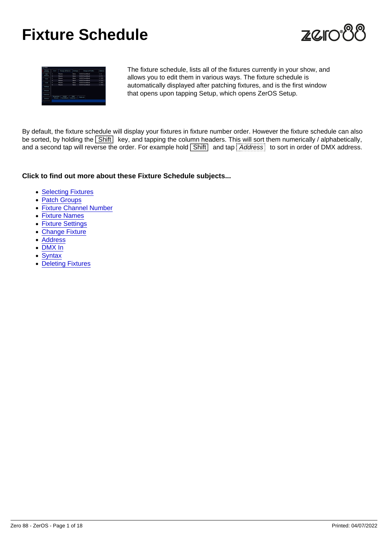# Fixture Schedule

The fixture schedule, lists all of the fixtures currently in your show, and allows you to edit them in various ways. The fixture schedule is automatically displayed after patching fixtures, and is the first window that opens upon tapping Setup, which opens ZerOS Setup.

By default, the fixture schedule will display your fixtures in fixture number order. However the fixture schedule can also be sorted, by holding the  $\boxed{\text{Shift}}$  key, and tapping the column headers. This will sort them numerically / alphabetically, and a second tap will reverse the order. For example hold Shift and tap Address to sort in order of DMX address.

Click to find out more about these Fixture Schedule subjects...

- [Selecting Fixtures](/manuals/zeros/patching/fixture-schedule/selecting-fixtures)
- [Patch Groups](/manuals/zeros/patching/fixture-schedule/patch-groups)
- [Fixture Channel Number](/manuals/zeros/patching/fixture-schedule/fixture-channel-number)
- [Fixture Names](/manuals/zeros/patching/fixture-schedule/fixture-names)
- [Fixture Settings](/manuals/zeros/patching/fixture-schedule/fixture-settings)
- [Change Fixture](/manuals/zeros/patching/fixture-schedule/change-fixture)
- [Address](/manuals/zeros/patching/fixture-schedule/edit-dmx-address)
- [DMX In](/manuals/zeros/patching/fixture-schedule/dmx-in)
- [Syntax](/manuals/zeros/patching/fixture-schedule/syntax)
- [Deleting Fixtures](/manuals/zeros/patching/fixture-schedule/deleting-fixtures)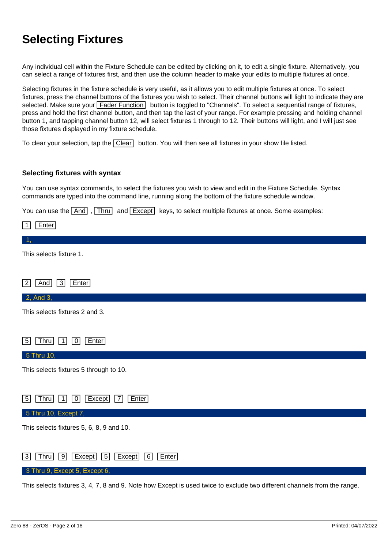# **Selecting Fixtures**

Any individual cell within the Fixture Schedule can be edited by clicking on it, to edit a single fixture. Alternatively, you can select a range of fixtures first, and then use the column header to make your edits to multiple fixtures at once.

Selecting fixtures in the fixture schedule is very useful, as it allows you to edit multiple fixtures at once. To select fixtures, press the channel buttons of the fixtures you wish to select. Their channel buttons will light to indicate they are selected. Make sure your Fader Function button is toggled to "Channels". To select a sequential range of fixtures, press and hold the first channel button, and then tap the last of your range. For example pressing and holding channel button 1, and tapping channel button 12, will select fixtures 1 through to 12. Their buttons will light, and I will just see those fixtures displayed in my fixture schedule.

To clear your selection, tap the  $\boxed{\text{Clear}}$  button. You will then see all fixtures in your show file listed.

#### **Selecting fixtures with syntax**

You can use syntax commands, to select the fixtures you wish to view and edit in the Fixture Schedule. Syntax commands are typed into the command line, running along the bottom of the fixture schedule window.

You can use the  $\overline{\text{And}}$ ,  $\overline{\text{Thru}}$  and  $\overline{\text{Except}}$  keys, to select multiple fixtures at once. Some examples:

| Enter<br>$\mathbf 1$                                                                                                    |
|-------------------------------------------------------------------------------------------------------------------------|
|                                                                                                                         |
| This selects fixture 1.                                                                                                 |
|                                                                                                                         |
| $\sqrt{3}$<br>Enter<br> 2 <br>And                                                                                       |
| 2, And 3,                                                                                                               |
| This selects fixtures 2 and 3.                                                                                          |
|                                                                                                                         |
| Thru<br>$\overline{1}$<br>Enter<br> 0 <br> 5                                                                            |
| 5 Thru 10,                                                                                                              |
| This selects fixtures 5 through to 10.                                                                                  |
|                                                                                                                         |
| Thru<br>$\overline{1}$<br>$\lceil 0 \rceil$<br>Except<br> 7 <br>Enter<br>  5                                            |
| 5 Thru 10, Except 7,                                                                                                    |
| This selects fixtures 5, 6, 8, 9 and 10.                                                                                |
|                                                                                                                         |
| Thru<br>$\sqrt{9}$<br>Except<br>$\boxed{5}$<br>Except<br> 6 <br>Enter<br> 3                                             |
| 3 Thru 9, Except 5, Except 6,                                                                                           |
| This selects fixtures 3, 4, 7, 8 and 9. Note how Except is used twice to exclude two different channels from the range. |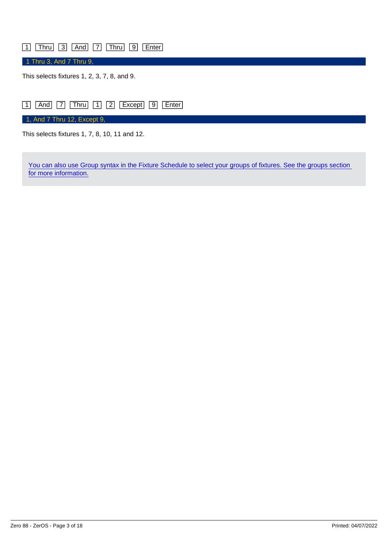### 1 Thru 3 And 7 Thru 9 Enter

1 Thru 3, And 7 Thru 9,

This selects fixtures 1, 2, 3, 7, 8, and 9.



This selects fixtures 1, 7, 8, 10, 11 and 12.

You can also use Group syntax in the Fixture Schedule to select your groups of fixtures. See the groups section [for more information.](/manuals/zeros/groups)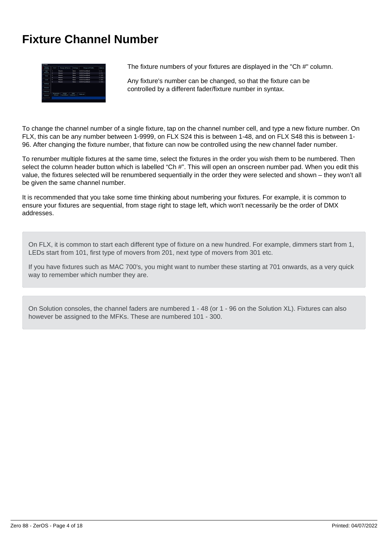# **Fixture Channel Number**

| Fisture<br>schedule | $0 + 4$          | <b>Chings of Names</b> | Settings    | Change of Profiles | Address |
|---------------------|------------------|------------------------|-------------|--------------------|---------|
| ASK4<br>firtures    | ı                | Movers                 | None        | VLRDD Fwyrthham    | 3.63    |
|                     | ż                | Movers                 | None        | VLRDD EvereWash    | 1/71    |
| Save                | ă                | Movers                 | Note        | VLDDD EvertWash    | 12141   |
|                     | ٠                | Movers                 | Note        | VLD00 EvertWash    | 1/211   |
| toat                | s                | Movers                 | Note        | VLD00 EventWest    | 1/281   |
|                     | ×                | Movers                 | Nazio       | VL800 EvertWesh    | 17351   |
| Settinos            |                  |                        |             |                    |         |
| Detauts             |                  |                        |             |                    |         |
| Universes           | <b>Micatched</b> | <b>WATCH</b>           | <b>DVX</b>  |                    |         |
| Davices.            | fotures          | EventWash              | Linkworks 3 | Muticed            |         |

The fixture numbers of your fixtures are displayed in the "Ch #" column.

Any fixture's number can be changed, so that the fixture can be controlled by a different fader/fixture number in syntax.

To change the channel number of a single fixture, tap on the channel number cell, and type a new fixture number. On FLX, this can be any number between 1-9999, on FLX S24 this is between 1-48, and on FLX S48 this is between 1- 96. After changing the fixture number, that fixture can now be controlled using the new channel fader number.

To renumber multiple fixtures at the same time, select the fixtures in the order you wish them to be numbered. Then select the column header button which is labelled "Ch #". This will open an onscreen number pad. When you edit this value, the fixtures selected will be renumbered sequentially in the order they were selected and shown – they won't all be given the same channel number.

It is recommended that you take some time thinking about numbering your fixtures. For example, it is common to ensure your fixtures are sequential, from stage right to stage left, which won't necessarily be the order of DMX addresses.

On FLX, it is common to start each different type of fixture on a new hundred. For example, dimmers start from 1, LEDs start from 101, first type of movers from 201, next type of movers from 301 etc.

If you have fixtures such as MAC 700's, you might want to number these starting at 701 onwards, as a very quick way to remember which number they are.

On Solution consoles, the channel faders are numbered 1 - 48 (or 1 - 96 on the Solution XL). Fixtures can also however be assigned to the MFKs. These are numbered 101 - 300.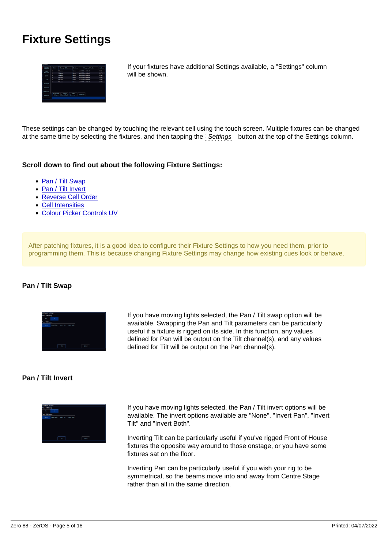# Fixture Settings

If your fixtures have additional Settings available, a "Settings" column will be shown.

These settings can be changed by touching the relevant cell using the touch screen. Multiple fixtures can be changed at the same time by selecting the fixtures, and then tapping the Settings button at the top of the Settings column.

Scroll down to find out about the following Fixture Settings:

- Pan / Tilt Swap
- Pan / Tilt Invert
- Reverse Cell Order
- Cell Intensities
- Colour Picker Controls UV

After patching fixtures, it is a good idea to configure their Fixture Settings to how you need them, prior to programming them. This is because changing Fixture Settings may change how existing cues look or behave.

Pan / Tilt Swap

If you have moving lights selected, the Pan / Tilt swap option will be available. Swapping the Pan and Tilt parameters can be particularly useful if a fixture is rigged on its side. In this function, any values defined for Pan will be output on the Tilt channel(s), and any values defined for Tilt will be output on the Pan channel(s).

Pan / Tilt Invert

If you have moving lights selected, the Pan / Tilt invert options will be available. The invert options available are "None", "Invert Pan", "Invert Tilt" and "Invert Both".

Inverting Tilt can be particularly useful if you've rigged Front of House fixtures the opposite way around to those onstage, or you have some fixtures sat on the floor.

Inverting Pan can be particularly useful if you wish your rig to be symmetrical, so the beams move into and away from Centre Stage rather than all in the same direction.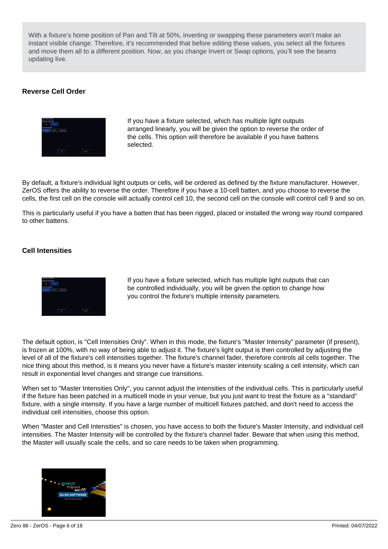With a fixture's home position of Pan and Tilt at 50%, inverting or swapping these parameters won't make an instant visible change. Therefore, it's recommended that before editing these values, you select all the fixtures and move them all to a different position. Now, as you change Invert or Swap options, you'll see the beams updating live.

### Reverse Cell Order

If you have a fixture selected, which has multiple light outputs arranged linearly, you will be given the option to reverse the order of the cells. This option will therefore be available if you have battens selected.

By default, a fixture's individual light outputs or cells, will be ordered as defined by the fixture manufacturer. However, ZerOS offers the ability to reverse the order. Therefore if you have a 10-cell batten, and you choose to reverse the cells, the first cell on the console will actually control cell 10, the second cell on the console will control cell 9 and so on.

This is particularly useful if you have a batten that has been rigged, placed or installed the wrong way round compared to other battens.

Cell Intensities

If you have a fixture selected, which has multiple light outputs that can be controlled individually, you will be given the option to change how you control the fixture's multiple intensity parameters.

The default option, is "Cell Intensities Only". When in this mode, the fixture's "Master Intensity" parameter (if present), is frozen at 100%, with no way of being able to adjust it. The fixture's light output is then controlled by adjusting the level of all of the fixture's cell intensities together. The fixture's channel fader, therefore controls all cells together. The nice thing about this method, is it means you never have a fixture's master intensity scaling a cell intensity, which can result in exponential level changes and strange cue transitions.

When set to "Master Intensities Only", you cannot adjust the intensities of the individual cells. This is particularly useful if the fixture has been patched in a multicell mode in your venue, but you just want to treat the fixture as a "standard" fixture, with a single intensity. If you have a large number of multicell fixtures patched, and don't need to access the individual cell intensities, choose this option.

When "Master and Cell Intensities" is chosen, you have access to both the fixture's Master Intensity, and individual cell intensities. The Master Intensity will be controlled by the fixture's channel fader. Beware that when using this method, the Master will usually scale the cells, and so care needs to be taken when programming.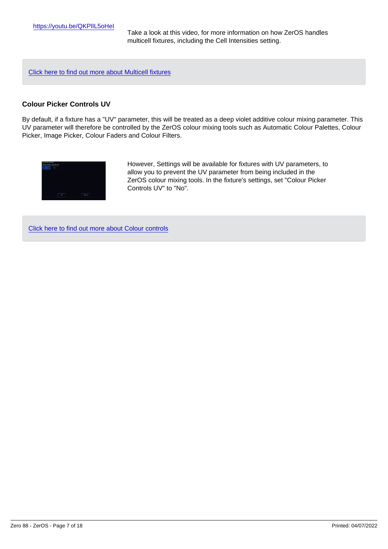Take a look at this video, for more information on how ZerOS handles multicell fixtures, including the Cell Intensities setting.

[Click here to find out more about Multicell fixtures](/manuals/zeros/controlling-fixtures/multicell-fixtures)

### Colour Picker Controls UV

By default, if a fixture has a "UV" parameter, this will be treated as a deep violet additive colour mixing parameter. This UV parameter will therefore be controlled by the ZerOS colour mixing tools such as Automatic Colour Palettes, Colour Picker, Image Picker, Colour Faders and Colour Filters.

> However, Settings will be available for fixtures with UV parameters, to allow you to prevent the UV parameter from being included in the ZerOS colour mixing tools. In the fixture's settings, set "Colour Picker Controls UV" to "No".

[Click here to find out more about Colour controls](/manuals/zeros/controlling-fixtures/colour)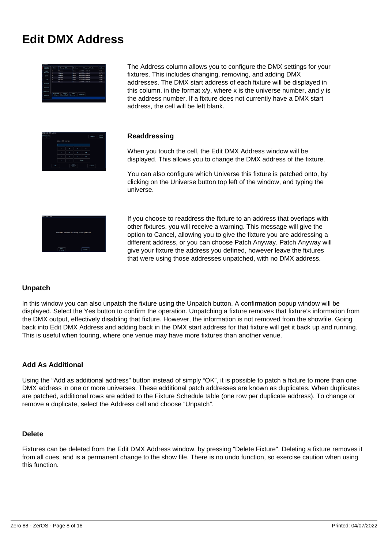# **Edit DMX Address**



The Address column allows you to configure the DMX settings for your fixtures. This includes changing, removing, and adding DMX addresses. The DMX start address of each fixture will be displayed in this column, in the format  $x/y$ , where x is the universe number, and y is the address number. If a fixture does not currently have a DMX start address, the cell will be left blank.



### **Readdressing**

When you touch the cell, the Edit DMX Address window will be displayed. This allows you to change the DMX address of the fixture.

You can also configure which Universe this fixture is patched onto, by clicking on the Universe button top left of the window, and typing the universe.



If you choose to readdress the fixture to an address that overlaps with other fixtures, you will receive a warning. This message will give the option to Cancel, allowing you to give the fixture you are addressing a different address, or you can choose Patch Anyway. Patch Anyway will give your fixture the address you defined, however leave the fixtures that were using those addresses unpatched, with no DMX address.

### **Unpatch**

In this window you can also unpatch the fixture using the Unpatch button. A confirmation popup window will be displayed. Select the Yes button to confirm the operation. Unpatching a fixture removes that fixture's information from the DMX output, effectively disabling that fixture. However, the information is not removed from the showfile. Going back into Edit DMX Address and adding back in the DMX start address for that fixture will get it back up and running. This is useful when touring, where one venue may have more fixtures than another venue.

### **Add As Additional**

Using the "Add as additional address" button instead of simply "OK", it is possible to patch a fixture to more than one DMX address in one or more universes. These additional patch addresses are known as duplicates. When duplicates are patched, additional rows are added to the Fixture Schedule table (one row per duplicate address). To change or remove a duplicate, select the Address cell and choose "Unpatch".

### **Delete**

Fixtures can be deleted from the Edit DMX Address window, by pressing "Delete Fixture". Deleting a fixture removes it from all cues, and is a permanent change to the show file. There is no undo function, so exercise caution when using this function.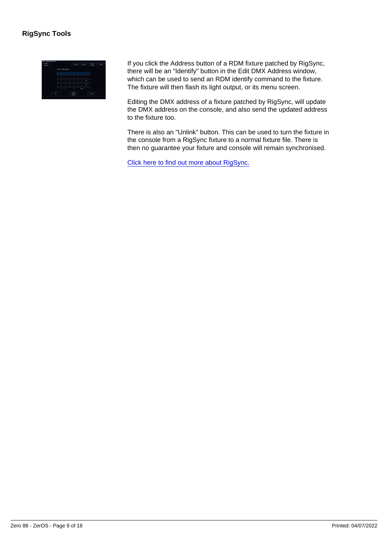If you click the Address button of a RDM fixture patched by RigSync, there will be an "Identify" button in the Edit DMX Address window, which can be used to send an RDM identify command to the fixture. The fixture will then flash its light output, or its menu screen.

Editing the DMX address of a fixture patched by RigSync, will update the DMX address on the console, and also send the updated address to the fixture too.

There is also an "Unlink" button. This can be used to turn the fixture in the console from a RigSync fixture to a normal fixture file. There is then no guarantee your fixture and console will remain synchronised.

[Click here to find out more about RigSync.](/manuals/zeros/setup/universes/remote-device-management)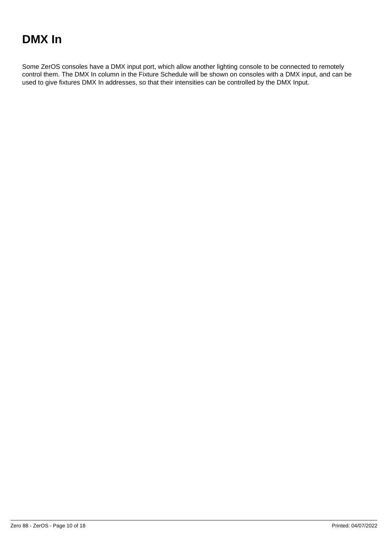# **DMX In**

Some ZerOS consoles have a DMX input port, which allow another lighting console to be connected to remotely control them. The DMX In column in the Fixture Schedule will be shown on consoles with a DMX input, and can be used to give fixtures DMX In addresses, so that their intensities can be controlled by the DMX Input.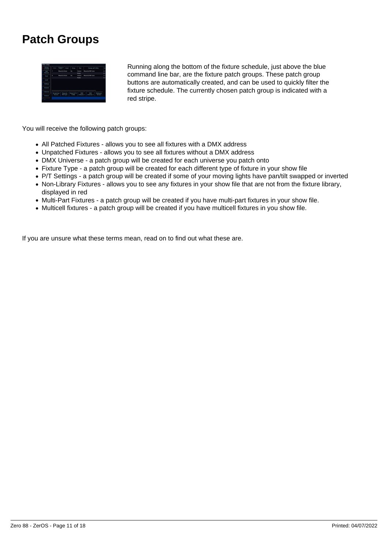# **Patch Groups**



Running along the bottom of the fixture schedule, just above the blue command line bar, are the fixture patch groups. These patch group buttons are automatically created, and can be used to quickly filter the fixture schedule. The currently chosen patch group is indicated with a red stripe.

You will receive the following patch groups:

- All Patched Fixtures allows you to see all fixtures with a DMX address
- Unpatched Fixtures allows you to see all fixtures without a DMX address
- DMX Universe a patch group will be created for each universe you patch onto
- Fixture Type a patch group will be created for each different type of fixture in your show file
- P/T Settings a patch group will be created if some of your moving lights have pan/tilt swapped or inverted
- Non-Library Fixtures allows you to see any fixtures in your show file that are not from the fixture library, displayed in red
- Multi-Part Fixtures a patch group will be created if you have multi-part fixtures in your show file.
- Multicell fixtures a patch group will be created if you have multicell fixtures in you show file.

If you are unsure what these terms mean, read on to find out what these are.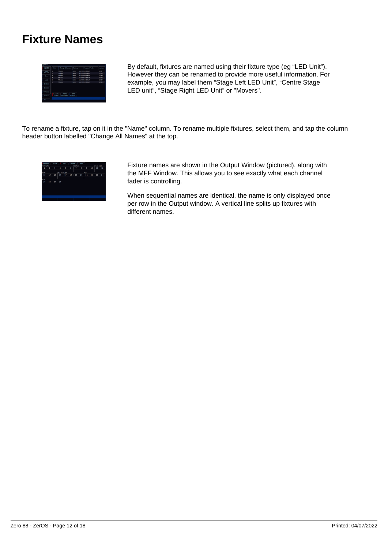# **Fixture Names**



By default, fixtures are named using their fixture type (eg "LED Unit"). However they can be renamed to provide more useful information. For example, you may label them "Stage Left LED Unit", "Centre Stage LED unit", "Stage Right LED Unit" or "Movers".

To rename a fixture, tap on it in the "Name" column. To rename multiple fixtures, select them, and tap the column header button labelled "Change All Names" at the top.



Fixture names are shown in the Output Window (pictured), along with the MFF Window. This allows you to see exactly what each channel fader is controlling.

When sequential names are identical, the name is only displayed once per row in the Output window. A vertical line splits up fixtures with different names.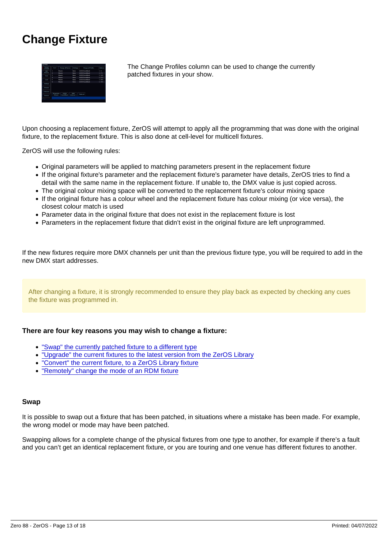# Change Fixture

The Change Profiles column can be used to change the currently patched fixtures in your show.

Upon choosing a replacement fixture, ZerOS will attempt to apply all the programming that was done with the original fixture, to the replacement fixture. This is also done at cell-level for multicell fixtures.

ZerOS will use the following rules:

- Original parameters will be applied to matching parameters present in the replacement fixture
- If the original fixture's parameter and the replacement fixture's parameter have details, ZerOS tries to find a detail with the same name in the replacement fixture. If unable to, the DMX value is just copied across.
- The original colour mixing space will be converted to the replacement fixture's colour mixing space
- If the original fixture has a colour wheel and the replacement fixture has colour mixing (or vice versa), the closest colour match is used
- Parameter data in the original fixture that does not exist in the replacement fixture is lost
- Parameters in the replacement fixture that didn't exist in the original fixture are left unprogrammed.

If the new fixtures require more DMX channels per unit than the previous fixture type, you will be required to add in the new DMX start addresses.

After changing a fixture, it is strongly recommended to ensure they play back as expected by checking any cues the fixture was programmed in.

There are four key reasons you may wish to change a fixture:

- "Swap" the currently patched fixture to a different type
- "Upgrade" the current fixtures to the latest version from the ZerOS Library
- "Convert" the current fixture, to a ZerOS Library fixture
- "Remotely" change the mode of an RDM fixture

#### Swap

It is possible to swap out a fixture that has been patched, in situations where a mistake has been made. For example, the wrong model or mode may have been patched.

Swapping allows for a complete change of the physical fixtures from one type to another, for example if there's a fault and you can't get an identical replacement fixture, or you are touring and one venue has different fixtures to another.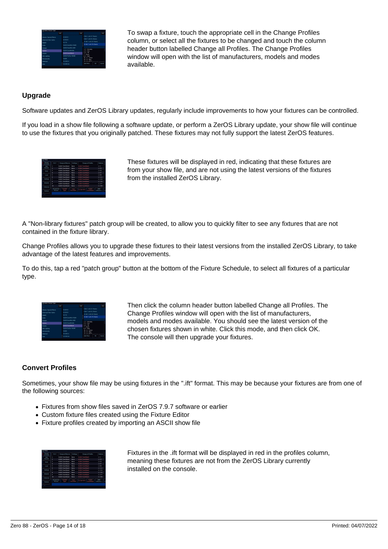

To swap a fixture, touch the appropriate cell in the Change Profiles column, or select all the fixtures to be changed and touch the column header button labelled Change all Profiles. The Change Profiles window will open with the list of manufacturers, models and modes available.

### **Upgrade**

Software updates and ZerOS Library updates, regularly include improvements to how your fixtures can be controlled.

If you load in a show file following a software update, or perform a ZerOS Library update, your show file will continue to use the fixtures that you originally patched. These fixtures may not fully support the latest ZerOS features.

| <b>Clevens</b><br><b>SANAHA</b> | $Q_{1}$                        | <b>Change of Names</b>        | Settings                        | Change of Profiles                             | Artesan            |
|---------------------------------|--------------------------------|-------------------------------|---------------------------------|------------------------------------------------|--------------------|
| ALC:<br><b>Sytupny</b>          | ŧ                              | VI 800 ForestWash.            | Nano                            | VUBDD EvertWash                                | 3.4.3              |
|                                 | ś                              | M-RDS EveretWoch.             | Nano                            | M-ROD FooreWood                                | 1,793              |
| Save                            | à                              | <b>M-RD3 EveretWash</b>       | Nano                            | M-800 FacetWash                                | 1745               |
|                                 | ò                              | VLRDD FwynWayb                | Nano                            | <b>WROS PierreWagh</b>                         | 1767               |
| <b>TAM</b>                      | š                              | <b>M. DOOR COMPANYAGE</b>     | <b>MARA</b>                     | VLRD3 EventWash                                | 1789               |
|                                 | ŕ.                             | <b>M. DOOL Concertificate</b> | <b>None</b>                     | <b>MIDDE Currentials</b>                       | 17111              |
| Settings                        | ٠                              | <b>MIDDELD MANAGER</b>        | <b>NAMA</b>                     | <b>MIDDS DaveWash</b>                          | 12102              |
|                                 | o                              | <b>M.DOO Discretivesh.</b>    | None                            | VLD00 EventWash                                | 3.7.155            |
| <b>Defaults</b>                 | ö                              | <b>MIDDED WARRIOUS</b>        | None                            | VLD00 EventWash                                | 17197              |
| Universes                       | ta                             | <b>M. ROD Presentation</b>    | <b>Name</b>                     | <b>M. ROO Puere Wash.</b>                      | 3.7.159            |
| Doubleton                       | All patched<br><b>Fortunes</b> | 912610<br>Soot.               | 56.50<br><b>Financial About</b> | <b>VL950</b><br>51 Bar 660<br><b>EventWash</b> | mont<br>Universe 1 |

These fixtures will be displayed in red, indicating that these fixtures are from your show file, and are not using the latest versions of the fixtures from the installed ZerOS Library.

A "Non-library fixtures" patch group will be created, to allow you to quickly filter to see any fixtures that are not contained in the fixture library.

Change Profiles allows you to upgrade these fixtures to their latest versions from the installed ZerOS Library, to take advantage of the latest features and improvements.

To do this, tap a red "patch group" button at the bottom of the Fixture Schedule, to select all fixtures of a particular type.



Then click the column header button labelled Change all Profiles. The Change Profiles window will open with the list of manufacturers, models and modes available. You should see the latest version of the chosen fixtures shown in white. Click this mode, and then click OK. The console will then upgrade your fixtures.

### **Convert Profiles**

Sometimes, your show file may be using fixtures in the ".ift" format. This may be because your fixtures are from one of the following sources:

- Fixtures from show files saved in ZerOS 7.9.7 software or earlier
- Custom fixture files created using the Fixture Editor
- Fixture profiles created by importing an ASCII show file

| Fisture<br>schedule   | 0.8                            | <b>Change of Names</b>     | Settings                    | Change of Profiles                             | Address                 |
|-----------------------|--------------------------------|----------------------------|-----------------------------|------------------------------------------------|-------------------------|
| A51<br><b>Systems</b> |                                | <b>M-ROD FooteWash.</b>    | Nana                        | M-ROD Four eWorth                              | 121                     |
|                       | ś                              | M-RDD FooteWash.           | Nano                        | M-800 FacetWash                                | 1723                    |
| Swe                   | à                              | VLRD3 FooteWash            | Nano                        | M-800 FacetWash                                | 1245                    |
|                       | ٠                              | VLRD3 EveretWash           | Nano                        | <b>WROS PierreWagh</b>                         | 1767                    |
| <b>TAM</b>            | s                              | VLRD3 EvertWash            | Nano                        | VLRD3 EventWash                                | 1789                    |
|                       | ×                              | <b>MIDDELD AVENUES</b>     | Nane                        | <b>VLDD3 EventWash</b>                         | 12111                   |
| Settings              | ٠                              | <b>MIDDO DAMNINGER</b>     | Nabe                        | VLD00 EventWash                                | 12102                   |
| <b>Defaults</b>       | o                              | <b>M. DOO DunnetWash.</b>  | None                        | VLD00 EventWash                                | 17155                   |
|                       | ö                              | VLD00 EvertWash            | None                        | VLD00 EventWash                                | 12197                   |
| Universes             | 10 <sub>1</sub>                | <b>M. ROD Presentation</b> | <b>Name</b>                 | <b>M.ROO PurerWash</b>                         | 17150                   |
| Doubleton             | All patched<br><b>Fortunes</b> | 912640<br>Soot.            | 56.50<br><b>Talan Abidi</b> | <b>VL950</b><br>51 Bar 660<br><b>EventWash</b> | mont<br>Universe 1<br>п |

Fixtures in the .ift format will be displayed in red in the profiles column, meaning these fixtures are not from the ZerOS Library currently installed on the console.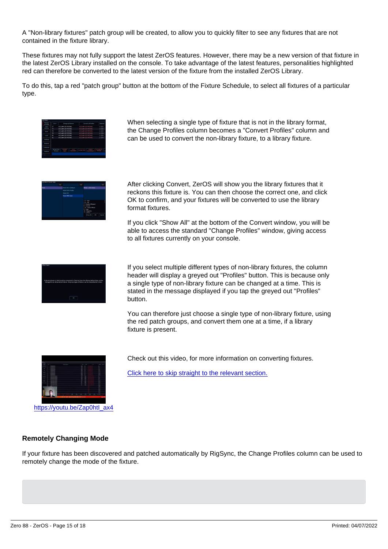A "Non-library fixtures" patch group will be created, to allow you to quickly filter to see any fixtures that are not contained in the fixture library.

These fixtures may not fully support the latest ZerOS features. However, there may be a new version of that fixture in the latest ZerOS Library installed on the console. To take advantage of the latest features, personalities highlighted red can therefore be converted to the latest version of the fixture from the installed ZerOS Library.

To do this, tap a red "patch group" button at the bottom of the Fixture Schedule, to select all fixtures of a particular type.

> When selecting a single type of fixture that is not in the library format, the Change Profiles column becomes a "Convert Profiles" column and can be used to convert the non-library fixture, to a library fixture.

> After clicking Convert, ZerOS will show you the library fixtures that it reckons this fixture is. You can then choose the correct one, and click OK to confirm, and your fixtures will be converted to use the library format fixtures.

If you click "Show All" at the bottom of the Convert window, you will be able to access the standard "Change Profiles" window, giving access to all fixtures currently on your console.

If you select multiple different types of non-library fixtures, the column header will display a greyed out "Profiles" button. This is because only a single type of non-library fixture can be changed at a time. This is stated in the message displayed if you tap the greyed out "Profiles" button.

You can therefore just choose a single type of non-library fixture, using the red patch groups, and convert them one at a time, if a library fixture is present.

Check out this video, for more information on converting fixtures.

[Click here to skip straight to the relevant section.](https://youtu.be/Zap0htI_ax4?t=846)

htt[ps://youtu.be/Zap0htI\\_ax4](https://youtu.be/Zap0htI_ax4)

#### Remotely Changing Mode

If your fixture has been discovered and patched automatically by RigSync, the Change Profiles column can be used to remotely change the mode of the fixture.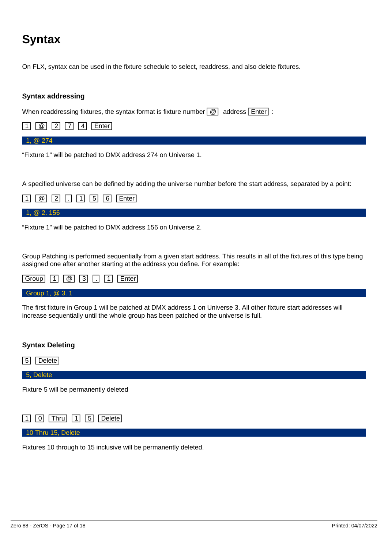# **Syntax**

On FLX, syntax can be used in the fixture schedule to select, readdress, and also delete fixtures.

### **Syntax addressing**

When readdressing fixtures, the syntax format is fixture number  $\boxed{\omega}$  address  $\boxed{\text{Enter}}$ :



1, @ 274

"Fixture 1" will be patched to DMX address 274 on Universe 1.

A specified universe can be defined by adding the universe number before the start address, separated by a point:

|            | $\boxed{1}$ $\boxed{0}$ $\boxed{2}$ $\boxed{1}$ $\boxed{5}$ $\boxed{6}$ Enter |  |
|------------|-------------------------------------------------------------------------------|--|
| 1, @ 2.156 |                                                                               |  |

"Fixture 1" will be patched to DMX address 156 on Universe 2.

Group Patching is performed sequentially from a given start address. This results in all of the fixtures of this type being assigned one after another starting at the address you define. For example:

| $\boxed{\text{Group} \quad \boxed{1} \quad \boxed{\emptyset} \quad \boxed{3} \quad \boxed{1} \quad \boxed{\text{F} \quad \boxed{\text{Enter}}}$ |  |
|-------------------------------------------------------------------------------------------------------------------------------------------------|--|
| Group 1, @ 3.1                                                                                                                                  |  |

The first fixture in Group 1 will be patched at DMX address 1 on Universe 3. All other fixture start addresses will increase sequentially until the whole group has been patched or the universe is full.

### **Syntax Deleting**

5 Delete

5, Delete

Fixture 5 will be permanently deleted



10 Thru 15, Delete

Fixtures 10 through to 15 inclusive will be permanently deleted.